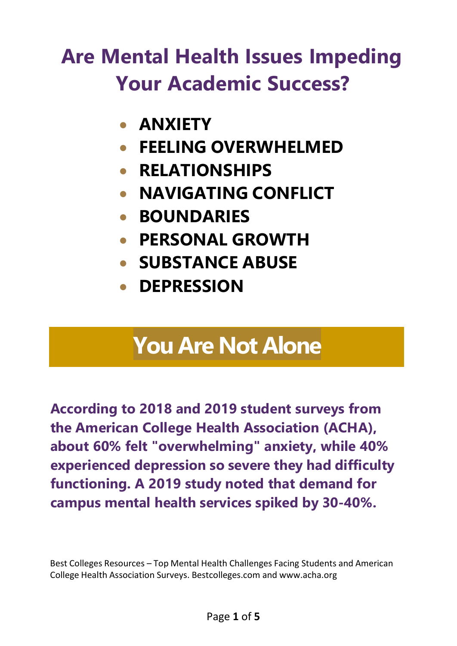# **Are Mental Health Issues Impeding Your Academic Success?**

- **ANXIETY**
- **FEELING OVERWHELMED**
- **RELATIONSHIPS**
- **NAVIGATING CONFLICT**
- **BOUNDARIES**
- **PERSONAL GROWTH**
- **SUBSTANCE ABUSE**
- **DEPRESSION**

# **You Are Not Alone**

**According to 2018 and 2019 student surveys from the American College Health Association (ACHA), about 60% felt "overwhelming" anxiety, while 40% experienced depression so severe they had difficulty functioning. A 2019 study noted that demand for campus mental health services spiked by 30-40%.**

Best Colleges Resources – Top Mental Health Challenges Facing Students and American College Health Association Surveys. Bestcolleges.com and [www.acha.org](http://www.acha.org/)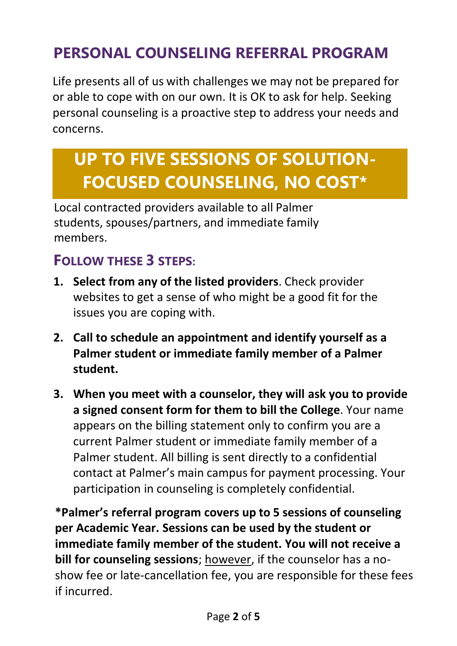### **PERSONAL COUNSELING REFERRAL PROGRAM**

Life presents all of us with challenges we may not be prepared for or able to cope with on our own. It is OK to ask for help. Seeking personal counseling is a proactive step to address your needs and concerns.

## **UP TO FIVE SESSIONS OF SOLUTION-FOCUSED COUNSELING, NO COST\***

Local contracted providers available to all Palmer students, spouses/partners, and immediate family members.

#### **FOLLOW THESE 3 STEPS:**

- **1. Select from any of the listed providers**. Check provider websites to get a sense of who might be a good fit for the issues you are coping with.
- **2. Call to schedule an appointment and identify yourself as a Palmer student or immediate family member of a Palmer student.**
- **3. When you meet with a counselor, they will ask you to provide a signed consent form for them to bill the College**. Your name appears on the billing statement only to confirm you are a current Palmer student or immediate family member of a Palmer student. All billing is sent directly to a confidential contact at Palmer's main campus for payment processing. Your participation in counseling is completely confidential.

**\*Palmer's referral program covers up to 5 sessions of counseling per Academic Year. Sessions can be used by the student or immediate family member of the student. You will not receive a bill for counseling sessions**; however, if the counselor has a noshow fee or late-cancellation fee, you are responsible for these fees if incurred.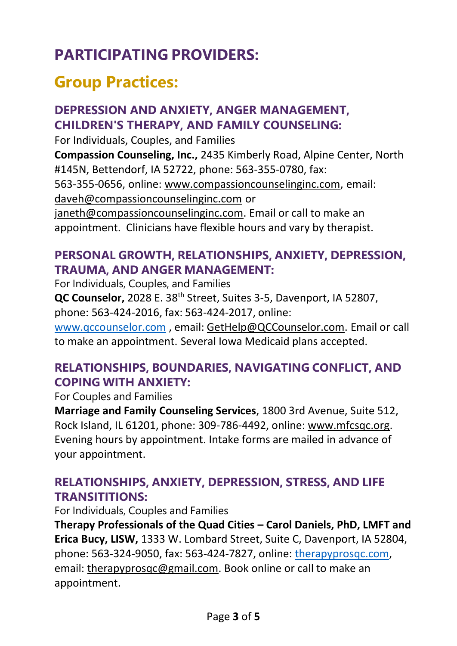## **PARTICIPATING PROVIDERS:**

## <span id="page-2-0"></span>**Group Practices:**

#### **DEPRESSION AND ANXIETY, ANGER MANAGEMENT, CHILDREN'S THERAPY, AND FAMILY COUNSELING:**

For Individuals, Couples, and Families **Compassion Counseling, Inc.,** 2435 Kimberly Road, Alpine Center, North #145N, Bettendorf, IA 52722, phone: 563-355-0780, fax: 563-355-0656, online: [www.compassioncounselinginc.com](#page-2-0)[,](http://www.compassioncounselinginc.com/) email: [daveh@compassioncounselinginc.com](#page-2-0) or [janeth@compassioncounselinginc.com.](mailto:janeth@compassioncounselinginc.com) Email or call to make an appointment. Clinicians have flexible hours and vary by therapist.

#### **PERSONAL GROWTH, RELATIONSHIPS, ANXIETY, DEPRESSION, TRAUMA, AND ANGER MANAGEMENT:**

For Individuals, Couples, and Families **QC Counselor,** 2028 E. 38th Street, Suites 3-5, Davenport, IA 52807, phone: 563-424-2016, fax: 563-424-2017, online: [www.qccounselor.com](http://www.qccounselor.com/) , email: [GetHelp@QCCounselor.com.](mailto:GetHelp@QCCounselor.com) Email or call to make an appointment. Several Iowa Medicaid plans accepted.

#### **RELATIONSHIPS, BOUNDARIES, NAVIGATING CONFLICT, AND COPING WITH ANXIETY:**

For Couples and Families

**Marriage and Family Counseling Services**, 1800 3rd Avenue, Suite 512, Rock Island, IL 61201, phone: 309-786-4492, online: [www.mfcsqc.org.](http://www.mfcsqc.org/) Evening hours by appointment. Intake forms are mailed in advance of your appointment.

#### **RELATIONSHIPS, ANXIETY, DEPRESSION, STRESS, AND LIFE TRANSITITIONS:**

For Individuals, Couples and Families

**Therapy Professionals of the Quad Cities – Carol Daniels, PhD, LMFT and Erica Bucy, LISW,** 1333 W. Lombard Street, Suite C, Davenport, IA 52804, phone: 563-324-9050, fax: 563-424-7827, online: therapyprosqc.com, email: [therapyprosqc@gmail.com.](mailto:therapyprosqc@gmail.com) Book online or call to make an appointment.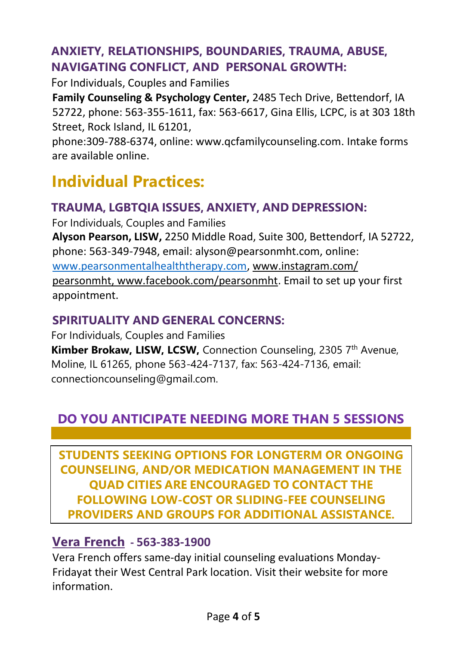#### **ANXIETY, RELATIONSHIPS, BOUNDARIES, TRAUMA, ABUSE, NAVIGATING CONFLICT, AND PERSONAL GROWTH:**

For Individuals, Couples and Families

**Family Counseling & Psychology Center,** 2485 Tech Drive, Bettendorf, IA 52722, phone: 563-355-1611, fax: 563-6617, Gina Ellis, LCPC, is at 303 18th Street, Rock Island, IL 61201,

phone:309-788-6374, online[: www.qcfamilycounseling.com. I](http://www.qcfamilycounseling.com/)ntake forms are available online.

## **Individual Practices:**

#### **TRAUMA, LGBTQIA ISSUES, ANXIETY, AND DEPRESSION:**

For Individuals, Couples and Families **Alyson Pearson, LISW,** 2250 Middle Road, Suite 300, Bettendorf, IA 52722, phone: 563-349-7948, email: [alyson@pearsonmht.com, o](mailto:alyson@pearsonmht.com)nline: [www.pearsonmentalhealththerapy.com, www.instagram.com/](https://protect-us.mimecast.com/s/PVsiCR6kN1HrLXJPIO0hyA?domain=instagram.com) [pearsonmht, www.facebook.com/pearsonmht.](https://protect-us.mimecast.com/s/PVsiCR6kN1HrLXJPIO0hyA?domain=instagram.com) Email to set up your first appointment.

#### **SPIRITUALITY AND GENERAL CONCERNS:**

For Individuals, Couples and Families **Kimber Brokaw, LISW, LCSW, Connection Counseling, 2305 7th Avenue,** Moline, IL 61265, phone 563-424-7137, fax: 563-424-7136, email: connectioncounseling@gmail.com.

#### **DO YOU ANTICIPATE NEEDING MORE THAN 5 SESSIONS OF COUNSELING TO ADDRESS YOUR CONCERNS?**

**[STUDENTS S](https://www.verafrenchmhc.org/)EEKING OPTIONS FOR LONGTERM OR ONGOING COUNSELING, AND/OR MEDICATION MANAGEMENT IN THE QUAD CITIES ARE ENCOURAGED TO CONTACT THE FOLLOWING LOW-COST OR SLIDING-FEE COUNSELING PROVIDERS AND [GROUPS](https://www.verafrenchmhc.org/vera-french-mental-health-center/carol-center/) FOR ADDITIONAL ASSISTANCE.**

#### **Vera French - 563-383-1900**

Vera French offers same-day initial counseling evaluations Monday-Fridayat their West Central Park location. Visit their [website f](https://www.verafrenchmhc.org/services-for-adults/same-day-care/)or more information.